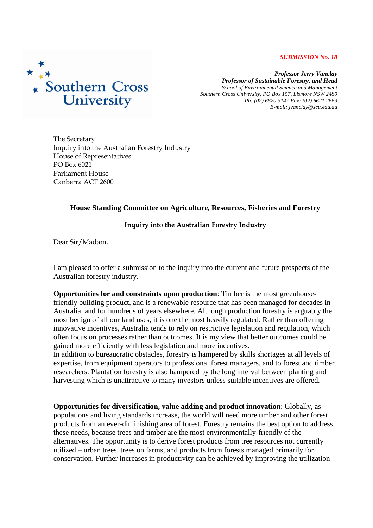## *SUBMISSION No. 18*



*Professor Jerry Vanclay Professor of Sustainable Forestry, and Head School of Environmental Science and Management Southern Cross University, PO Box 157, Lismore NSW 2480 Ph: (02) 6620 3147 Fax: (02) 6621 2669 E-mail: jvanclay@scu.edu.au*

The Secretary Inquiry into the Australian Forestry Industry House of Representatives PO Box 6021 Parliament House Canberra ACT 2600

## **House Standing Committee on Agriculture, Resources, Fisheries and Forestry**

## **Inquiry into the Australian Forestry Industry**

Dear Sir/Madam,

I am pleased to offer a submission to the inquiry into the current and future prospects of the Australian forestry industry.

**Opportunities for and constraints upon production**: Timber is the most greenhousefriendly building product, and is a renewable resource that has been managed for decades in Australia, and for hundreds of years elsewhere. Although production forestry is arguably the most benign of all our land uses, it is one the most heavily regulated. Rather than offering innovative incentives, Australia tends to rely on restrictive legislation and regulation, which often focus on processes rather than outcomes. It is my view that better outcomes could be gained more efficiently with less legislation and more incentives.

In addition to bureaucratic obstacles, forestry is hampered by skills shortages at all levels of expertise, from equipment operators to professional forest managers, and to forest and timber researchers. Plantation forestry is also hampered by the long interval between planting and harvesting which is unattractive to many investors unless suitable incentives are offered.

**Opportunities for diversification, value adding and product innovation**: Globally, as populations and living standards increase, the world will need more timber and other forest products from an ever-diminishing area of forest. Forestry remains the best option to address these needs, because trees and timber are the most environmentally-friendly of the alternatives. The opportunity is to derive forest products from tree resources not currently utilized – urban trees, trees on farms, and products from forests managed primarily for conservation. Further increases in productivity can be achieved by improving the utilization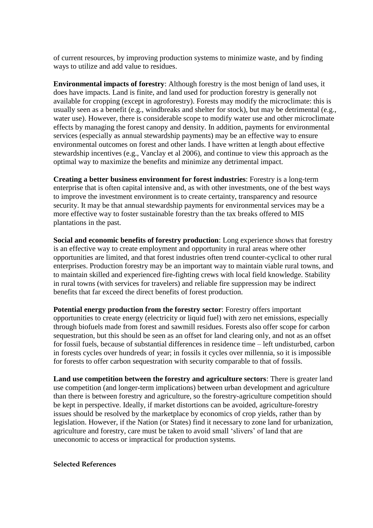of current resources, by improving production systems to minimize waste, and by finding ways to utilize and add value to residues.

**Environmental impacts of forestry**: Although forestry is the most benign of land uses, it does have impacts. Land is finite, and land used for production forestry is generally not available for cropping (except in agroforestry). Forests may modify the microclimate: this is usually seen as a benefit (e.g., windbreaks and shelter for stock), but may be detrimental (e.g., water use). However, there is considerable scope to modify water use and other microclimate effects by managing the forest canopy and density. In addition, payments for environmental services (especially as annual stewardship payments) may be an effective way to ensure environmental outcomes on forest and other lands. I have written at length about effective stewardship incentives (e.g., Vanclay et al 2006), and continue to view this approach as the optimal way to maximize the benefits and minimize any detrimental impact.

**Creating a better business environment for forest industries**: Forestry is a long-term enterprise that is often capital intensive and, as with other investments, one of the best ways to improve the investment environment is to create certainty, transparency and resource security. It may be that annual stewardship payments for environmental services may be a more effective way to foster sustainable forestry than the tax breaks offered to MIS plantations in the past.

**Social and economic benefits of forestry production**: Long experience shows that forestry is an effective way to create employment and opportunity in rural areas where other opportunities are limited, and that forest industries often trend counter-cyclical to other rural enterprises. Production forestry may be an important way to maintain viable rural towns, and to maintain skilled and experienced fire-fighting crews with local field knowledge. Stability in rural towns (with services for travelers) and reliable fire suppression may be indirect benefits that far exceed the direct benefits of forest production.

**Potential energy production from the forestry sector**: Forestry offers important opportunities to create energy (electricity or liquid fuel) with zero net emissions, especially through biofuels made from forest and sawmill residues. Forests also offer scope for carbon sequestration, but this should be seen as an offset for land clearing only, and not as an offset for fossil fuels, because of substantial differences in residence time – left undisturbed, carbon in forests cycles over hundreds of year; in fossils it cycles over millennia, so it is impossible for forests to offer carbon sequestration with security comparable to that of fossils.

**Land use competition between the forestry and agriculture sectors**: There is greater land use competition (and longer-term implications) between urban development and agriculture than there is between forestry and agriculture, so the forestry-agriculture competition should be kept in perspective. Ideally, if market distortions can be avoided, agriculture-forestry issues should be resolved by the marketplace by economics of crop yields, rather than by legislation. However, if the Nation (or States) find it necessary to zone land for urbanization, agriculture and forestry, care must be taken to avoid small 'slivers' of land that are uneconomic to access or impractical for production systems.

**Selected References**